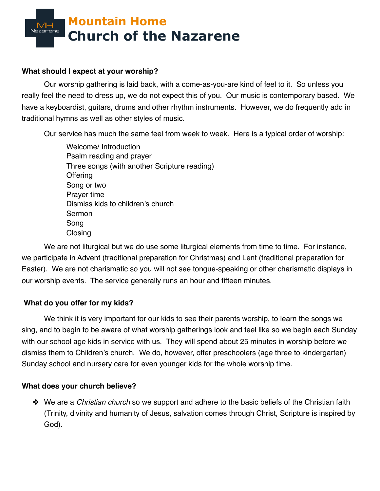

## **What should I expect at your worship?**

Our worship gathering is laid back, with a come-as-you-are kind of feel to it. So unless you really feel the need to dress up, we do not expect this of you. Our music is contemporary based. We have a keyboardist, guitars, drums and other rhythm instruments. However, we do frequently add in traditional hymns as well as other styles of music.

Our service has much the same feel from week to week. Here is a typical order of worship:

Welcome/ Introduction Psalm reading and prayer Three songs (with another Scripture reading) **Offering** Song or two Prayer time Dismiss kids to children's church Sermon Song Closing

We are not liturgical but we do use some liturgical elements from time to time. For instance, we participate in Advent (traditional preparation for Christmas) and Lent (traditional preparation for Easter). We are not charismatic so you will not see tongue-speaking or other charismatic displays in our worship events. The service generally runs an hour and fifteen minutes.

## **What do you offer for my kids?**

We think it is very important for our kids to see their parents worship, to learn the songs we sing, and to begin to be aware of what worship gatherings look and feel like so we begin each Sunday with our school age kids in service with us. They will spend about 25 minutes in worship before we dismiss them to Children's church. We do, however, offer preschoolers (age three to kindergarten) Sunday school and nursery care for even younger kids for the whole worship time.

## **What does your church believe?**

✤ We are a *Christian church* so we support and adhere to the basic beliefs of the Christian faith (Trinity, divinity and humanity of Jesus, salvation comes through Christ, Scripture is inspired by God).